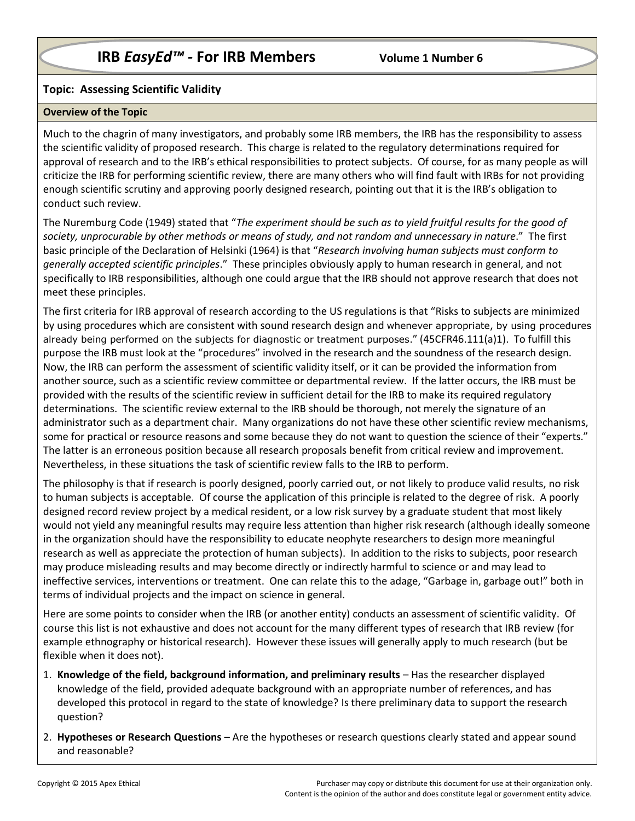# **IRB** *EasyEd™ -* **For IRB Members Volume 1 Number 6**

## **Topic: Assessing Scientific Validity**

### **Overview of the Topic**

Much to the chagrin of many investigators, and probably some IRB members, the IRB has the responsibility to assess the scientific validity of proposed research. This charge is related to the regulatory determinations required for approval of research and to the IRB's ethical responsibilities to protect subjects. Of course, for as many people as will criticize the IRB for performing scientific review, there are many others who will find fault with IRBs for not providing enough scientific scrutiny and approving poorly designed research, pointing out that it is the IRB's obligation to conduct such review.

The Nuremburg Code (1949) stated that "*The experiment should be such as to yield fruitful results for the good of society, unprocurable by other methods or means of study, and not random and unnecessary in nature*." The first basic principle of the Declaration of Helsinki (1964) is that "*Research involving human subjects must conform to generally accepted scientific principles*." These principles obviously apply to human research in general, and not specifically to IRB responsibilities, although one could argue that the IRB should not approve research that does not meet these principles.

The first criteria for IRB approval of research according to the US regulations is that "Risks to subjects are minimized by using procedures which are consistent with sound research design and whenever appropriate, by using procedures already being performed on the subjects for diagnostic or treatment purposes." (45CFR46.111(a)1). To fulfill this purpose the IRB must look at the "procedures" involved in the research and the soundness of the research design. Now, the IRB can perform the assessment of scientific validity itself, or it can be provided the information from another source, such as a scientific review committee or departmental review. If the latter occurs, the IRB must be provided with the results of the scientific review in sufficient detail for the IRB to make its required regulatory determinations. The scientific review external to the IRB should be thorough, not merely the signature of an administrator such as a department chair. Many organizations do not have these other scientific review mechanisms, some for practical or resource reasons and some because they do not want to question the science of their "experts." The latter is an erroneous position because all research proposals benefit from critical review and improvement. Nevertheless, in these situations the task of scientific review falls to the IRB to perform.

The philosophy is that if research is poorly designed, poorly carried out, or not likely to produce valid results, no risk to human subjects is acceptable. Of course the application of this principle is related to the degree of risk. A poorly designed record review project by a medical resident, or a low risk survey by a graduate student that most likely would not yield any meaningful results may require less attention than higher risk research (although ideally someone in the organization should have the responsibility to educate neophyte researchers to design more meaningful research as well as appreciate the protection of human subjects). In addition to the risks to subjects, poor research may produce misleading results and may become directly or indirectly harmful to science or and may lead to ineffective services, interventions or treatment. One can relate this to the adage, "Garbage in, garbage out!" both in terms of individual projects and the impact on science in general.

Here are some points to consider when the IRB (or another entity) conducts an assessment of scientific validity. Of course this list is not exhaustive and does not account for the many different types of research that IRB review (for example ethnography or historical research). However these issues will generally apply to much research (but be flexible when it does not).

- 1. **Knowledge of the field, background information, and preliminary results** Has the researcher displayed knowledge of the field, provided adequate background with an appropriate number of references, and has developed this protocol in regard to the state of knowledge? Is there preliminary data to support the research question?
- 2. **Hypotheses or Research Questions** Are the hypotheses or research questions clearly stated and appear sound and reasonable?